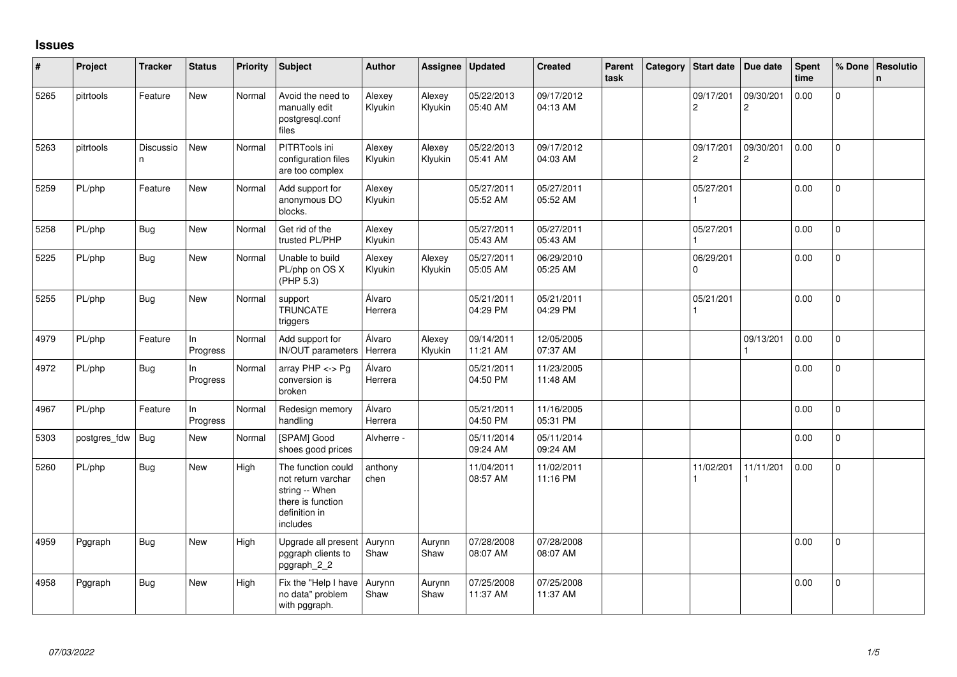## **Issues**

| #    | Project      | <b>Tracker</b> | <b>Status</b>   | <b>Priority</b> | Subject                                                                                                      | <b>Author</b>     | <b>Assignee</b>   | <b>Updated</b>         | <b>Created</b>         | Parent<br>task | Category | <b>Start date</b>           | Due date                    | <b>Spent</b><br>time | % Done         | <b>Resolutio</b><br>$\mathbf n$ |
|------|--------------|----------------|-----------------|-----------------|--------------------------------------------------------------------------------------------------------------|-------------------|-------------------|------------------------|------------------------|----------------|----------|-----------------------------|-----------------------------|----------------------|----------------|---------------------------------|
| 5265 | pitrtools    | Feature        | New             | Normal          | Avoid the need to<br>manually edit<br>postgresql.conf<br>files                                               | Alexey<br>Klyukin | Alexey<br>Klyukin | 05/22/2013<br>05:40 AM | 09/17/2012<br>04:13 AM |                |          | 09/17/201<br>$\overline{c}$ | 09/30/201<br>$\overline{c}$ | 0.00                 | 0              |                                 |
| 5263 | pitrtools    | Discussio<br>n | New             | Normal          | PITRTools ini<br>configuration files<br>are too complex                                                      | Alexey<br>Klyukin | Alexey<br>Klyukin | 05/22/2013<br>05:41 AM | 09/17/2012<br>04:03 AM |                |          | 09/17/201<br>$\overline{c}$ | 09/30/201<br>2              | 0.00                 | 0              |                                 |
| 5259 | PL/php       | Feature        | New             | Normal          | Add support for<br>anonymous DO<br>blocks.                                                                   | Alexey<br>Klyukin |                   | 05/27/2011<br>05:52 AM | 05/27/2011<br>05:52 AM |                |          | 05/27/201                   |                             | 0.00                 | $\mathbf 0$    |                                 |
| 5258 | PL/php       | Bug            | <b>New</b>      | Normal          | Get rid of the<br>trusted PL/PHP                                                                             | Alexey<br>Klyukin |                   | 05/27/2011<br>05:43 AM | 05/27/2011<br>05:43 AM |                |          | 05/27/201                   |                             | 0.00                 | $\Omega$       |                                 |
| 5225 | PL/php       | <b>Bug</b>     | <b>New</b>      | Normal          | Unable to build<br>PL/php on OS X<br>(PHP 5.3)                                                               | Alexey<br>Klyukin | Alexey<br>Klyukin | 05/27/2011<br>05:05 AM | 06/29/2010<br>05:25 AM |                |          | 06/29/201<br>$\Omega$       |                             | 0.00                 | $\Omega$       |                                 |
| 5255 | PL/php       | <b>Bug</b>     | <b>New</b>      | Normal          | support<br><b>TRUNCATE</b><br>triggers                                                                       | Álvaro<br>Herrera |                   | 05/21/2011<br>04:29 PM | 05/21/2011<br>04:29 PM |                |          | 05/21/201                   |                             | 0.00                 | 0              |                                 |
| 4979 | PL/php       | Feature        | ln<br>Progress  | Normal          | Add support for<br><b>IN/OUT</b> parameters                                                                  | Álvaro<br>Herrera | Alexey<br>Klyukin | 09/14/2011<br>11:21 AM | 12/05/2005<br>07:37 AM |                |          |                             | 09/13/201                   | 0.00                 | 0              |                                 |
| 4972 | PL/php       | <b>Bug</b>     | ln<br>Progress  | Normal          | array $PHP \lt\gt P$ g<br>conversion is<br>broken                                                            | Álvaro<br>Herrera |                   | 05/21/2011<br>04:50 PM | 11/23/2005<br>11:48 AM |                |          |                             |                             | 0.00                 | $\mathbf{0}$   |                                 |
| 4967 | PL/php       | Feature        | ln.<br>Progress | Normal          | Redesign memory<br>handling                                                                                  | Álvaro<br>Herrera |                   | 05/21/2011<br>04:50 PM | 11/16/2005<br>05:31 PM |                |          |                             |                             | 0.00                 | $\mathbf 0$    |                                 |
| 5303 | postgres_fdw | <b>Bug</b>     | New             | Normal          | [SPAM] Good<br>shoes good prices                                                                             | Alvherre -        |                   | 05/11/2014<br>09:24 AM | 05/11/2014<br>09:24 AM |                |          |                             |                             | 0.00                 | $\mathbf{0}$   |                                 |
| 5260 | PL/php       | <b>Bug</b>     | New             | High            | The function could<br>not return varchar<br>string -- When<br>there is function<br>definition in<br>includes | anthony<br>chen   |                   | 11/04/2011<br>08:57 AM | 11/02/2011<br>11:16 PM |                |          | 11/02/201                   | 11/11/201                   | 0.00                 | $\overline{0}$ |                                 |
| 4959 | Pggraph      | <b>Bug</b>     | New             | High            | Upgrade all present<br>pggraph clients to<br>pggraph_2_2                                                     | Aurynn<br>Shaw    | Aurynn<br>Shaw    | 07/28/2008<br>08:07 AM | 07/28/2008<br>08:07 AM |                |          |                             |                             | 0.00                 | $\Omega$       |                                 |
| 4958 | Pggraph      | Bug            | <b>New</b>      | High            | Fix the "Help I have<br>no data" problem<br>with pggraph.                                                    | Aurynn<br>Shaw    | Aurynn<br>Shaw    | 07/25/2008<br>11:37 AM | 07/25/2008<br>11:37 AM |                |          |                             |                             | 0.00                 | $\Omega$       |                                 |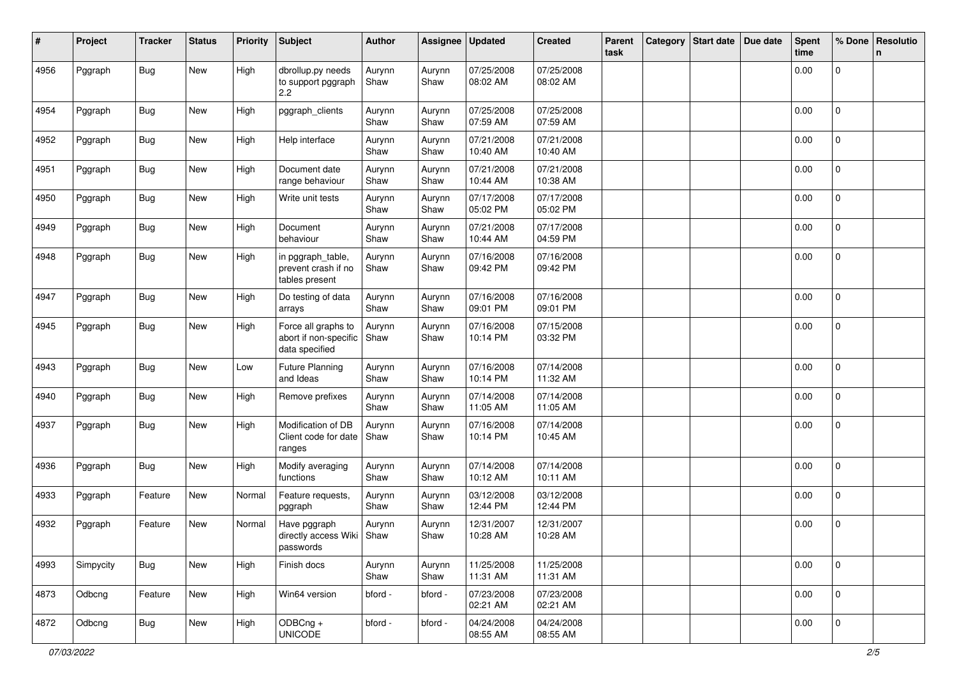| #    | Project   | <b>Tracker</b> | <b>Status</b> | <b>Priority</b> | <b>Subject</b>                                                 | <b>Author</b>  | Assignee       | <b>Updated</b>         | <b>Created</b>         | Parent<br>task | Category Start date | Due date | <b>Spent</b><br>time | % Done              | Resolutio<br>$\mathsf{n}$ |
|------|-----------|----------------|---------------|-----------------|----------------------------------------------------------------|----------------|----------------|------------------------|------------------------|----------------|---------------------|----------|----------------------|---------------------|---------------------------|
| 4956 | Pggraph   | <b>Bug</b>     | New           | High            | dbrollup.py needs<br>to support pggraph<br>2.2                 | Aurynn<br>Shaw | Aurynn<br>Shaw | 07/25/2008<br>08:02 AM | 07/25/2008<br>08:02 AM |                |                     |          | 0.00                 | 0                   |                           |
| 4954 | Pggraph   | <b>Bug</b>     | New           | High            | pggraph_clients                                                | Aurynn<br>Shaw | Aurynn<br>Shaw | 07/25/2008<br>07:59 AM | 07/25/2008<br>07:59 AM |                |                     |          | 0.00                 | $\mathbf 0$         |                           |
| 4952 | Pggraph   | Bug            | New           | High            | Help interface                                                 | Aurynn<br>Shaw | Aurynn<br>Shaw | 07/21/2008<br>10:40 AM | 07/21/2008<br>10:40 AM |                |                     |          | 0.00                 | $\mathbf{0}$        |                           |
| 4951 | Pggraph   | Bug            | New           | High            | Document date<br>range behaviour                               | Aurynn<br>Shaw | Aurynn<br>Shaw | 07/21/2008<br>10:44 AM | 07/21/2008<br>10:38 AM |                |                     |          | 0.00                 | 0                   |                           |
| 4950 | Pggraph   | Bug            | New           | High            | Write unit tests                                               | Aurynn<br>Shaw | Aurynn<br>Shaw | 07/17/2008<br>05:02 PM | 07/17/2008<br>05:02 PM |                |                     |          | 0.00                 | $\mathbf 0$         |                           |
| 4949 | Pggraph   | <b>Bug</b>     | New           | High            | Document<br>behaviour                                          | Aurynn<br>Shaw | Aurynn<br>Shaw | 07/21/2008<br>10:44 AM | 07/17/2008<br>04:59 PM |                |                     |          | 0.00                 | $\mathbf{0}$        |                           |
| 4948 | Pggraph   | <b>Bug</b>     | New           | High            | in pggraph_table,<br>prevent crash if no<br>tables present     | Aurynn<br>Shaw | Aurynn<br>Shaw | 07/16/2008<br>09:42 PM | 07/16/2008<br>09:42 PM |                |                     |          | 0.00                 | 0                   |                           |
| 4947 | Pggraph   | <b>Bug</b>     | New           | High            | Do testing of data<br>arrays                                   | Aurynn<br>Shaw | Aurynn<br>Shaw | 07/16/2008<br>09:01 PM | 07/16/2008<br>09:01 PM |                |                     |          | 0.00                 | $\mathbf{0}$        |                           |
| 4945 | Pggraph   | <b>Bug</b>     | New           | High            | Force all graphs to<br>abort if non-specific<br>data specified | Aurynn<br>Shaw | Aurynn<br>Shaw | 07/16/2008<br>10:14 PM | 07/15/2008<br>03:32 PM |                |                     |          | 0.00                 | $\mathbf 0$         |                           |
| 4943 | Pggraph   | <b>Bug</b>     | New           | Low             | <b>Future Planning</b><br>and Ideas                            | Aurynn<br>Shaw | Aurynn<br>Shaw | 07/16/2008<br>10:14 PM | 07/14/2008<br>11:32 AM |                |                     |          | 0.00                 | $\overline{0}$      |                           |
| 4940 | Pggraph   | <b>Bug</b>     | New           | High            | Remove prefixes                                                | Aurynn<br>Shaw | Aurynn<br>Shaw | 07/14/2008<br>11:05 AM | 07/14/2008<br>11:05 AM |                |                     |          | 0.00                 | $\mathbf 0$         |                           |
| 4937 | Pggraph   | Bug            | New           | High            | Modification of DB<br>Client code for date<br>ranges           | Aurynn<br>Shaw | Aurynn<br>Shaw | 07/16/2008<br>10:14 PM | 07/14/2008<br>10:45 AM |                |                     |          | 0.00                 | $\mathbf{0}$        |                           |
| 4936 | Pggraph   | Bug            | New           | High            | Modify averaging<br>functions                                  | Aurynn<br>Shaw | Aurynn<br>Shaw | 07/14/2008<br>10:12 AM | 07/14/2008<br>10:11 AM |                |                     |          | 0.00                 | $\mathbf 0$         |                           |
| 4933 | Pggraph   | Feature        | New           | Normal          | Feature requests,<br>pggraph                                   | Aurynn<br>Shaw | Aurynn<br>Shaw | 03/12/2008<br>12:44 PM | 03/12/2008<br>12:44 PM |                |                     |          | 0.00                 | $\overline{0}$      |                           |
| 4932 | Pggraph   | Feature        | New           | Normal          | Have pggraph<br>directly access Wiki Shaw<br>passwords         | Aurynn         | Aurynn<br>Shaw | 12/31/2007<br>10:28 AM | 12/31/2007<br>10:28 AM |                |                     |          | 0.00                 | 0                   |                           |
| 4993 | Simpycity | <b>Bug</b>     | New           | High            | Finish docs                                                    | Aurynn<br>Shaw | Aurynn<br>Shaw | 11/25/2008<br>11:31 AM | 11/25/2008<br>11:31 AM |                |                     |          | 0.00                 | 0                   |                           |
| 4873 | Odbcng    | Feature        | New           | High            | Win64 version                                                  | bford -        | bford -        | 07/23/2008<br>02:21 AM | 07/23/2008<br>02:21 AM |                |                     |          | 0.00                 | $\mathsf{O}\xspace$ |                           |
| 4872 | Odbcng    | <b>Bug</b>     | New           | High            | ODBCng +<br><b>UNICODE</b>                                     | bford -        | bford -        | 04/24/2008<br>08:55 AM | 04/24/2008<br>08:55 AM |                |                     |          | 0.00                 | $\mathbf{0}$        |                           |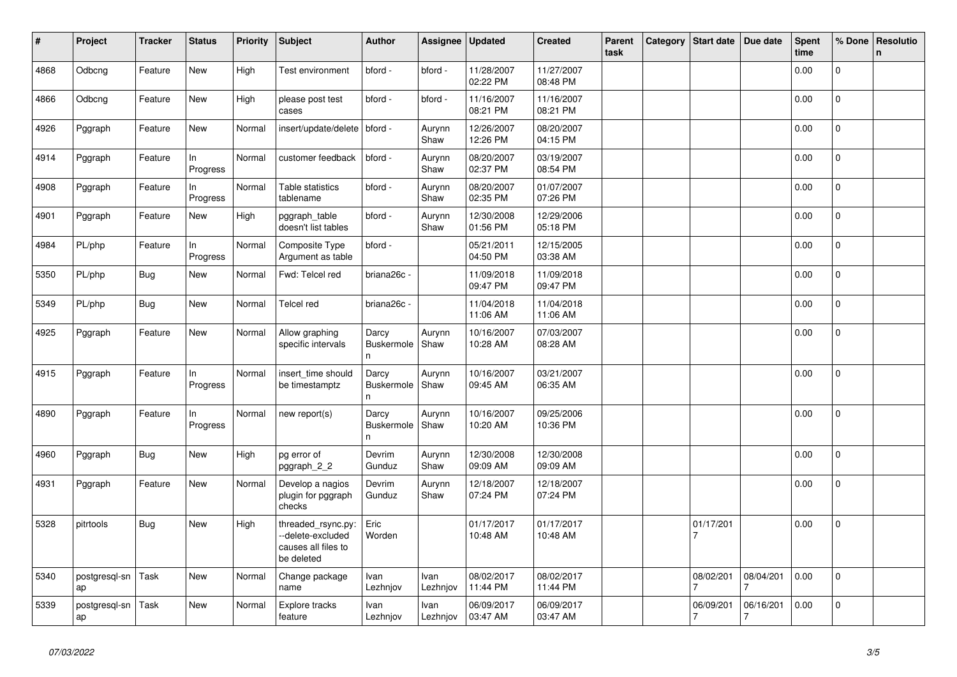| #    | Project             | <b>Tracker</b> | <b>Status</b>  | <b>Priority</b> | <b>Subject</b>                                                              | <b>Author</b>                   | Assignee         | <b>Updated</b>         | <b>Created</b>         | Parent<br>task | Category | <b>Start date</b>           | Due date                    | <b>Spent</b><br>time | % Done         | Resolutio<br>$\mathbf n$ |
|------|---------------------|----------------|----------------|-----------------|-----------------------------------------------------------------------------|---------------------------------|------------------|------------------------|------------------------|----------------|----------|-----------------------------|-----------------------------|----------------------|----------------|--------------------------|
| 4868 | Odbcng              | Feature        | New            | High            | Test environment                                                            | bford -                         | bford -          | 11/28/2007<br>02:22 PM | 11/27/2007<br>08:48 PM |                |          |                             |                             | 0.00                 | $\Omega$       |                          |
| 4866 | Odbcng              | Feature        | <b>New</b>     | High            | please post test<br>cases                                                   | bford -                         | bford -          | 11/16/2007<br>08:21 PM | 11/16/2007<br>08:21 PM |                |          |                             |                             | 0.00                 | 0              |                          |
| 4926 | Pggraph             | Feature        | New            | Normal          | insert/update/delete                                                        | bford -                         | Aurynn<br>Shaw   | 12/26/2007<br>12:26 PM | 08/20/2007<br>04:15 PM |                |          |                             |                             | 0.00                 | 0              |                          |
| 4914 | Pggraph             | Feature        | In<br>Progress | Normal          | customer feedback                                                           | bford -                         | Aurynn<br>Shaw   | 08/20/2007<br>02:37 PM | 03/19/2007<br>08:54 PM |                |          |                             |                             | 0.00                 | $\overline{0}$ |                          |
| 4908 | Pggraph             | Feature        | In<br>Progress | Normal          | Table statistics<br>tablename                                               | bford -                         | Aurynn<br>Shaw   | 08/20/2007<br>02:35 PM | 01/07/2007<br>07:26 PM |                |          |                             |                             | 0.00                 | $\overline{0}$ |                          |
| 4901 | Pggraph             | Feature        | New            | High            | pggraph_table<br>doesn't list tables                                        | bford -                         | Aurynn<br>Shaw   | 12/30/2008<br>01:56 PM | 12/29/2006<br>05:18 PM |                |          |                             |                             | 0.00                 | 0              |                          |
| 4984 | PL/php              | Feature        | ln<br>Progress | Normal          | Composite Type<br>Argument as table                                         | bford -                         |                  | 05/21/2011<br>04:50 PM | 12/15/2005<br>03:38 AM |                |          |                             |                             | 0.00                 | 0              |                          |
| 5350 | PL/php              | <b>Bug</b>     | New            | Normal          | Fwd: Telcel red                                                             | briana26c -                     |                  | 11/09/2018<br>09:47 PM | 11/09/2018<br>09:47 PM |                |          |                             |                             | 0.00                 | $\mathbf 0$    |                          |
| 5349 | PL/php              | Bug            | <b>New</b>     | Normal          | Telcel red                                                                  | briana26c -                     |                  | 11/04/2018<br>11:06 AM | 11/04/2018<br>11:06 AM |                |          |                             |                             | 0.00                 | 0              |                          |
| 4925 | Pggraph             | Feature        | New            | Normal          | Allow graphing<br>specific intervals                                        | Darcy<br>Buskermole<br>n        | Aurynn<br>Shaw   | 10/16/2007<br>10:28 AM | 07/03/2007<br>08:28 AM |                |          |                             |                             | 0.00                 | $\overline{0}$ |                          |
| 4915 | Pggraph             | Feature        | In<br>Progress | Normal          | insert time should<br>be timestamptz                                        | Darcy<br>Buskermole<br>n        | Aurynn<br>Shaw   | 10/16/2007<br>09:45 AM | 03/21/2007<br>06:35 AM |                |          |                             |                             | 0.00                 | $\overline{0}$ |                          |
| 4890 | Pggraph             | Feature        | In<br>Progress | Normal          | new report(s)                                                               | Darcy<br><b>Buskermole</b><br>n | Aurynn<br>Shaw   | 10/16/2007<br>10:20 AM | 09/25/2006<br>10:36 PM |                |          |                             |                             | 0.00                 | 0              |                          |
| 4960 | Pggraph             | Bug            | New            | High            | pg error of<br>pggraph_2_2                                                  | Devrim<br>Gunduz                | Aurynn<br>Shaw   | 12/30/2008<br>09:09 AM | 12/30/2008<br>09:09 AM |                |          |                             |                             | 0.00                 | $\mathbf{0}$   |                          |
| 4931 | Pggraph             | Feature        | New            | Normal          | Develop a nagios<br>plugin for pggraph<br>checks                            | Devrim<br>Gunduz                | Aurynn<br>Shaw   | 12/18/2007<br>07:24 PM | 12/18/2007<br>07:24 PM |                |          |                             |                             | 0.00                 | $\Omega$       |                          |
| 5328 | pitrtools           | Bug            | New            | High            | threaded rsync.py:<br>-delete-excluded<br>causes all files to<br>be deleted | Eric<br>Worden                  |                  | 01/17/2017<br>10:48 AM | 01/17/2017<br>10:48 AM |                |          | 01/17/201                   |                             | 0.00                 | $\Omega$       |                          |
| 5340 | postgresql-sn<br>ap | Task           | New            | Normal          | Change package<br>name                                                      | Ivan<br>Lezhnjov                | Ivan<br>Lezhnjov | 08/02/2017<br>11:44 PM | 08/02/2017<br>11:44 PM |                |          | 08/02/201                   | 08/04/201                   | 0.00                 | $\mathbf{0}$   |                          |
| 5339 | postgresql-sn<br>ap | Task           | <b>New</b>     | Normal          | Explore tracks<br>feature                                                   | Ivan<br>Lezhnjov                | Ivan<br>Lezhnjov | 06/09/2017<br>03:47 AM | 06/09/2017<br>03:47 AM |                |          | 06/09/201<br>$\overline{7}$ | 06/16/201<br>$\overline{7}$ | 0.00                 | 0              |                          |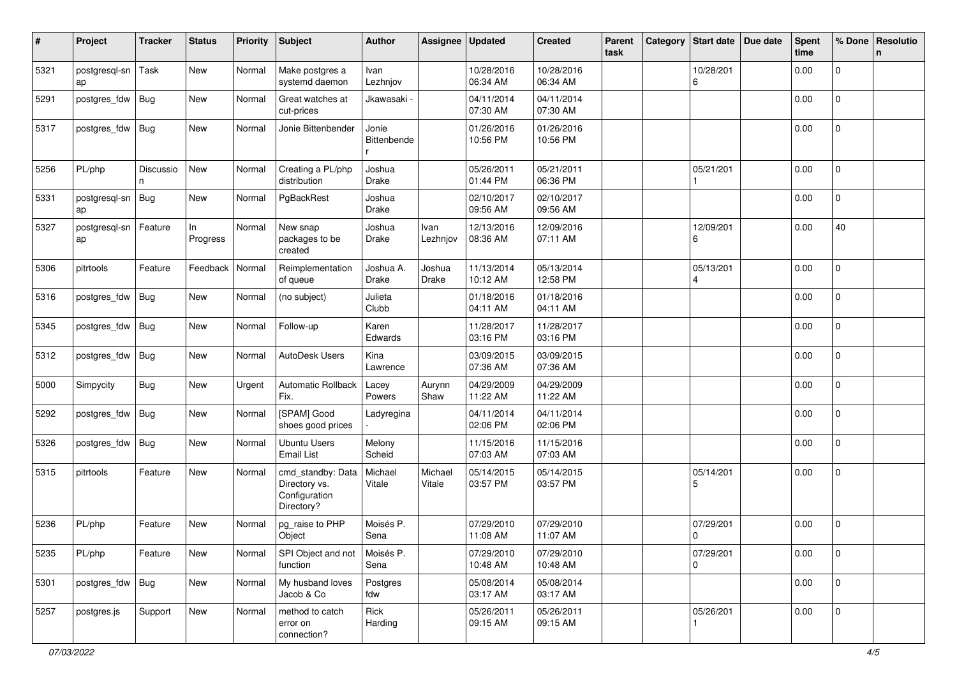| #    | Project             | <b>Tracker</b> | <b>Status</b>  | <b>Priority</b> | Subject                                                           | <b>Author</b>             | Assignee          | <b>Updated</b>         | <b>Created</b>         | Parent<br>task | Category | <b>Start date</b>                    | Due date | <b>Spent</b><br>time | % Done              | Resolutio<br>n |
|------|---------------------|----------------|----------------|-----------------|-------------------------------------------------------------------|---------------------------|-------------------|------------------------|------------------------|----------------|----------|--------------------------------------|----------|----------------------|---------------------|----------------|
| 5321 | postgresql-sn<br>ap | Task           | New            | Normal          | Make postgres a<br>systemd daemon                                 | Ivan<br>Lezhnjov          |                   | 10/28/2016<br>06:34 AM | 10/28/2016<br>06:34 AM |                |          | 10/28/201<br>6                       |          | 0.00                 | $\mathbf 0$         |                |
| 5291 | postgres_fdw        | Bug            | New            | Normal          | Great watches at<br>cut-prices                                    | Jkawasaki                 |                   | 04/11/2014<br>07:30 AM | 04/11/2014<br>07:30 AM |                |          |                                      |          | 0.00                 | 0                   |                |
| 5317 | postgres_fdw        | Bug            | New            | Normal          | Jonie Bittenbender                                                | Jonie<br>Bittenbende      |                   | 01/26/2016<br>10:56 PM | 01/26/2016<br>10:56 PM |                |          |                                      |          | 0.00                 | 0                   |                |
| 5256 | PL/php              | Discussio<br>n | New            | Normal          | Creating a PL/php<br>distribution                                 | Joshua<br>Drake           |                   | 05/26/2011<br>01:44 PM | 05/21/2011<br>06:36 PM |                |          | 05/21/201                            |          | 0.00                 | 0                   |                |
| 5331 | postgresgl-sn<br>ap | <b>Bug</b>     | New            | Normal          | PgBackRest                                                        | Joshua<br>Drake           |                   | 02/10/2017<br>09:56 AM | 02/10/2017<br>09:56 AM |                |          |                                      |          | 0.00                 | 0                   |                |
| 5327 | postgresql-sn<br>ap | Feature        | In<br>Progress | Normal          | New snap<br>packages to be<br>created                             | Joshua<br>Drake           | Ivan<br>Lezhnjov  | 12/13/2016<br>08:36 AM | 12/09/2016<br>07:11 AM |                |          | 12/09/201<br>6                       |          | 0.00                 | 40                  |                |
| 5306 | pitrtools           | Feature        | Feedback       | Normal          | Reimplementation<br>of queue                                      | Joshua A.<br><b>Drake</b> | Joshua<br>Drake   | 11/13/2014<br>10:12 AM | 05/13/2014<br>12:58 PM |                |          | 05/13/201<br>$\overline{\mathbf{A}}$ |          | 0.00                 | $\overline{0}$      |                |
| 5316 | postgres_fdw        | Bug            | New            | Normal          | (no subject)                                                      | Julieta<br>Clubb          |                   | 01/18/2016<br>04:11 AM | 01/18/2016<br>04:11 AM |                |          |                                      |          | 0.00                 | 0                   |                |
| 5345 | postgres_fdw        | Bug            | New            | Normal          | Follow-up                                                         | Karen<br>Edwards          |                   | 11/28/2017<br>03:16 PM | 11/28/2017<br>03:16 PM |                |          |                                      |          | 0.00                 | 0                   |                |
| 5312 | postgres_fdw        | Bug            | New            | Normal          | AutoDesk Users                                                    | Kina<br>Lawrence          |                   | 03/09/2015<br>07:36 AM | 03/09/2015<br>07:36 AM |                |          |                                      |          | 0.00                 | 0                   |                |
| 5000 | Simpycity           | Bug            | New            | Urgent          | <b>Automatic Rollback</b><br>Fix.                                 | Lacey<br>Powers           | Aurynn<br>Shaw    | 04/29/2009<br>11:22 AM | 04/29/2009<br>11:22 AM |                |          |                                      |          | 0.00                 | $\mathbf 0$         |                |
| 5292 | postgres_fdw        | Bug            | New            | Normal          | [SPAM] Good<br>shoes good prices                                  | Ladyregina                |                   | 04/11/2014<br>02:06 PM | 04/11/2014<br>02:06 PM |                |          |                                      |          | 0.00                 | 0                   |                |
| 5326 | postgres_fdw        | Bug            | New            | Normal          | <b>Ubuntu Users</b><br><b>Email List</b>                          | Melony<br>Scheid          |                   | 11/15/2016<br>07:03 AM | 11/15/2016<br>07:03 AM |                |          |                                      |          | 0.00                 | 0                   |                |
| 5315 | pitrtools           | Feature        | New            | Normal          | cmd_standby: Data<br>Directory vs.<br>Configuration<br>Directory? | Michael<br>Vitale         | Michael<br>Vitale | 05/14/2015<br>03:57 PM | 05/14/2015<br>03:57 PM |                |          | 05/14/201<br>5                       |          | 0.00                 | 0                   |                |
| 5236 | PL/php              | Feature        | New            | Normal          | pg_raise to PHP<br>Object                                         | Moisés P.<br>Sena         |                   | 07/29/2010<br>11:08 AM | 07/29/2010<br>11:07 AM |                |          | 07/29/201<br>0                       |          | 0.00                 | $\Omega$            |                |
| 5235 | PL/php              | Feature        | New            | Normal          | SPI Object and not<br>function                                    | Moisés P.<br>Sena         |                   | 07/29/2010<br>10:48 AM | 07/29/2010<br>10:48 AM |                |          | 07/29/201<br>0                       |          | 0.00                 | $\mathsf{O}\xspace$ |                |
| 5301 | postgres_fdw        | Bug            | New            | Normal          | My husband loves<br>Jacob & Co                                    | Postgres<br>fdw           |                   | 05/08/2014<br>03:17 AM | 05/08/2014<br>03:17 AM |                |          |                                      |          | 0.00                 | $\mathbf 0$         |                |
| 5257 | postgres.js         | Support        | New            | Normal          | method to catch<br>error on<br>connection?                        | Rick<br>Harding           |                   | 05/26/2011<br>09:15 AM | 05/26/2011<br>09:15 AM |                |          | 05/26/201                            |          | 0.00                 | $\mathbf 0$         |                |